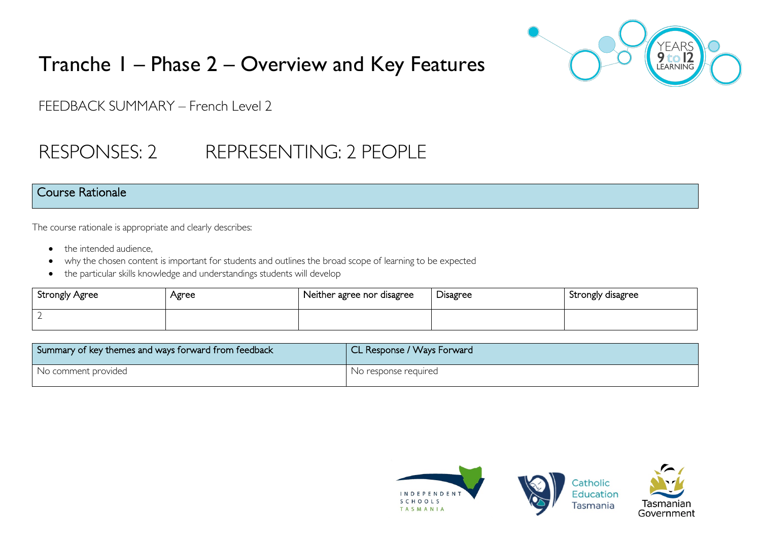

# Tranche 1 – Phase 2 – Overview and Key Features

FEEDBACK SUMMARY – French Level 2

# RESPONSES: 2 REPRESENTING: 2 PEOPLE

### Course Rationale

The course rationale is appropriate and clearly describes:

- the intended audience.
- why the chosen content is important for students and outlines the broad scope of learning to be expected
- the particular skills knowledge and understandings students will develop

| Strongly Agree | Agree | Neither agree nor disagree | Disagree | Strongly disagree |
|----------------|-------|----------------------------|----------|-------------------|
|                |       |                            |          |                   |

| Summary of key themes and ways forward from feedback | CL Response / Ways Forward |
|------------------------------------------------------|----------------------------|
| I No comment provided                                | No response required       |

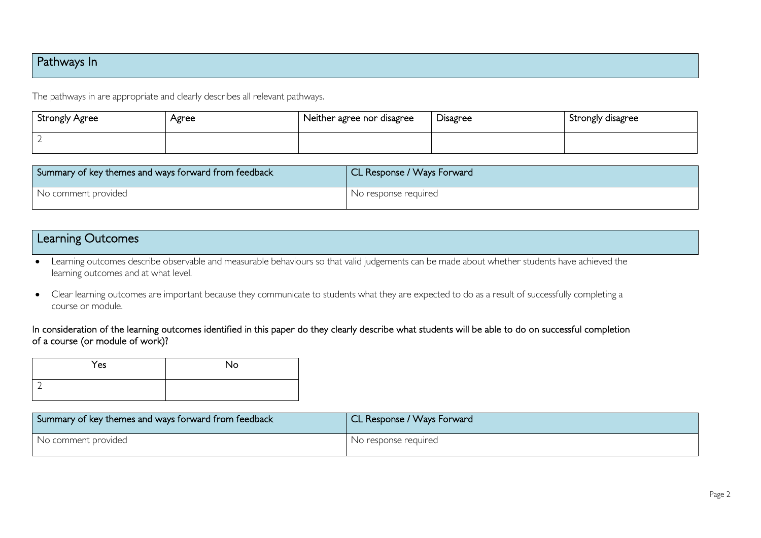# Pathways In

The pathways in are appropriate and clearly describes all relevant pathways.

| <b>Strongly Agree</b> | Agree | Neither agree nor disagree | Disagree | Strongly disagree |
|-----------------------|-------|----------------------------|----------|-------------------|
|                       |       |                            |          |                   |

| Summary of key themes and ways forward from feedback | CL Response / Ways Forward |
|------------------------------------------------------|----------------------------|
| No comment provided                                  | No response required       |

### Learning Outcomes

- Learning outcomes describe observable and measurable behaviours so that valid judgements can be made about whether students have achieved the learning outcomes and at what level.
- Clear learning outcomes are important because they communicate to students what they are expected to do as a result of successfully completing a course or module.

#### In consideration of the learning outcomes identified in this paper do they clearly describe what students will be able to do on successful completion of a course (or module of work)?

| Yes | <b>No</b> |
|-----|-----------|
| ٠   |           |

| Summary of key themes and ways forward from feedback | CL Response / Ways Forward |
|------------------------------------------------------|----------------------------|
| No comment provided                                  | No response required       |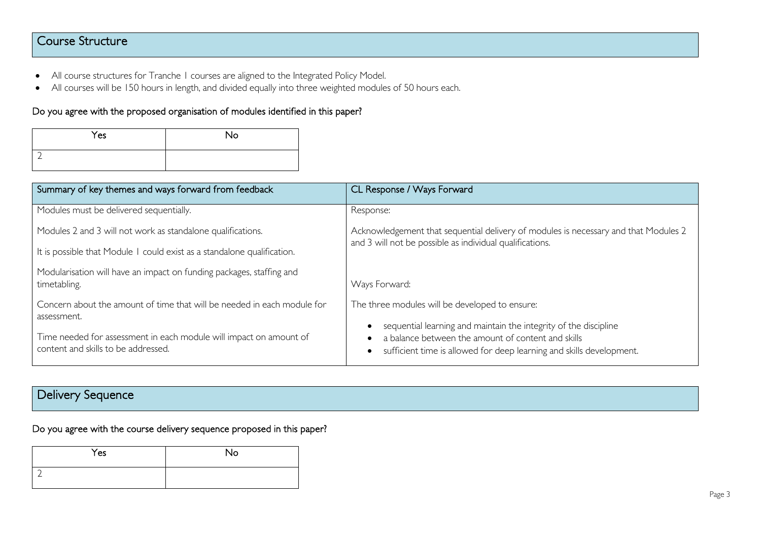# Course Structure

- All course structures for Tranche 1 courses are aligned to the Integrated Policy Model.
- All courses will be 150 hours in length, and divided equally into three weighted modules of 50 hours each.

#### Do you agree with the proposed organisation of modules identified in this paper?

| Yes | No |
|-----|----|
|     |    |

| Summary of key themes and ways forward from feedback                                                      | CL Response / Ways Forward                                                                                                                                                                     |  |
|-----------------------------------------------------------------------------------------------------------|------------------------------------------------------------------------------------------------------------------------------------------------------------------------------------------------|--|
| Modules must be delivered sequentially.                                                                   | Response:                                                                                                                                                                                      |  |
| Modules 2 and 3 will not work as standalone qualifications.                                               | Acknowledgement that sequential delivery of modules is necessary and that Modules 2<br>and 3 will not be possible as individual qualifications.                                                |  |
| It is possible that Module I could exist as a standalone qualification.                                   |                                                                                                                                                                                                |  |
| Modularisation will have an impact on funding packages, staffing and<br>timetabling.                      | Ways Forward:                                                                                                                                                                                  |  |
| Concern about the amount of time that will be needed in each module for<br>assessment.                    | The three modules will be developed to ensure:                                                                                                                                                 |  |
| Time needed for assessment in each module will impact on amount of<br>content and skills to be addressed. | sequential learning and maintain the integrity of the discipline<br>a balance between the amount of content and skills<br>sufficient time is allowed for deep learning and skills development. |  |

# Delivery Sequence

Do you agree with the course delivery sequence proposed in this paper?

| Yes | No |
|-----|----|
|     |    |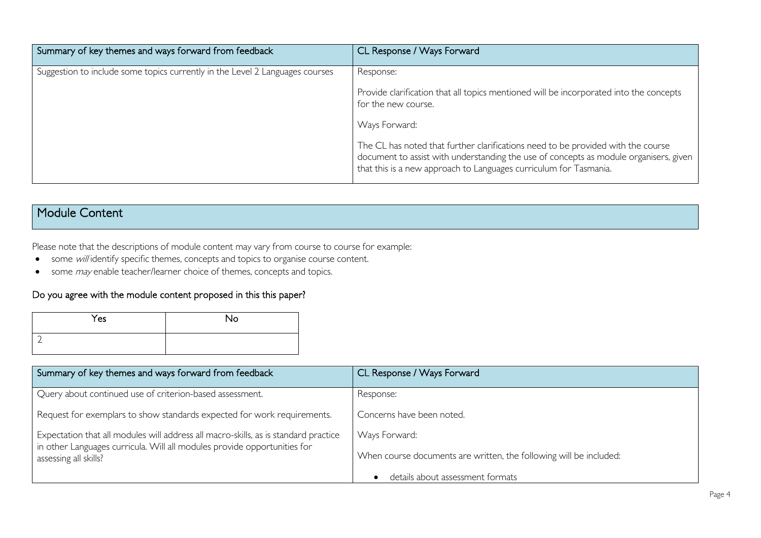| Summary of key themes and ways forward from feedback                         | CL Response / Ways Forward                                                                                                                                                                                                                     |
|------------------------------------------------------------------------------|------------------------------------------------------------------------------------------------------------------------------------------------------------------------------------------------------------------------------------------------|
| Suggestion to include some topics currently in the Level 2 Languages courses | Response:                                                                                                                                                                                                                                      |
|                                                                              | Provide clarification that all topics mentioned will be incorporated into the concepts<br>for the new course.                                                                                                                                  |
|                                                                              | Ways Forward:                                                                                                                                                                                                                                  |
|                                                                              | The CL has noted that further clarifications need to be provided with the course<br>document to assist with understanding the use of concepts as module organisers, given<br>that this is a new approach to Languages curriculum for Tasmania. |

# Module Content

Please note that the descriptions of module content may vary from course to course for example:

- some will identify specific themes, concepts and topics to organise course content.
- some *may* enable teacher/learner choice of themes, concepts and topics.

#### Do you agree with the module content proposed in this this paper?

| Yes | No |
|-----|----|
|     |    |

| Summary of key themes and ways forward from feedback                                                                                                            | CL Response / Ways Forward                                         |
|-----------------------------------------------------------------------------------------------------------------------------------------------------------------|--------------------------------------------------------------------|
| Query about continued use of criterion-based assessment.                                                                                                        | Response:                                                          |
| Request for exemplars to show standards expected for work requirements.                                                                                         | Concerns have been noted.                                          |
| Expectation that all modules will address all macro-skills, as is standard practice<br>in other Languages curricula. Will all modules provide opportunities for | Ways Forward:                                                      |
| assessing all skills?                                                                                                                                           | When course documents are written, the following will be included: |
|                                                                                                                                                                 | details about assessment formats                                   |